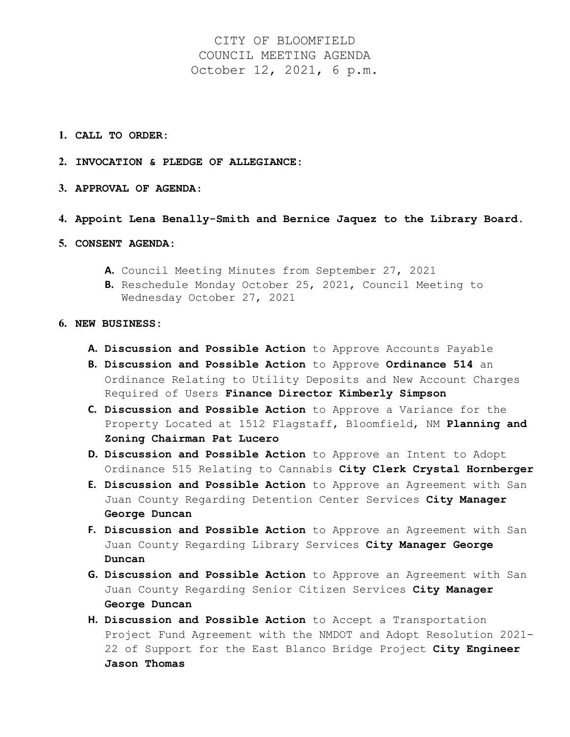CITY OF BLOOMFIELD COUNCIL MEETING AGENDA October 12, 2021, 6 p.m.

- **1. CALL TO ORDER:**
- **2. INVOCATION & PLEDGE OF ALLEGIANCE:**
- **3. APPROVAL OF AGENDA**:
- **4. Appoint Lena Benally-Smith and Bernice Jaquez to the Library Board.**
- **5. CONSENT AGENDA:**
	- **A.** Council Meeting Minutes from September 27, 2021
	- **B.** Reschedule Monday October 25, 2021, Council Meeting to Wednesday October 27, 2021
- **6. NEW BUSINESS:**
	- **A. Discussion and Possible Action** to Approve Accounts Payable
	- **B. Discussion and Possible Action** to Approve **Ordinance 514** an Ordinance Relating to Utility Deposits and New Account Charges Required of Users **Finance Director Kimberly Simpson**
	- **C. Discussion and Possible Action** to Approve a Variance for the Property Located at 1512 Flagstaff, Bloomfield, NM **Planning and Zoning Chairman Pat Lucero**
	- **D. Discussion and Possible Action** to Approve an Intent to Adopt Ordinance 515 Relating to Cannabis **City Clerk Crystal Hornberger**
	- **E. Discussion and Possible Action** to Approve an Agreement with San Juan County Regarding Detention Center Services **City Manager George Duncan**
	- **F. Discussion and Possible Action** to Approve an Agreement with San Juan County Regarding Library Services **City Manager George Duncan**
	- **G. Discussion and Possible Action** to Approve an Agreement with San Juan County Regarding Senior Citizen Services **City Manager George Duncan**
	- **H. Discussion and Possible Action** to Accept a Transportation Project Fund Agreement with the NMDOT and Adopt Resolution 2021- 22 of Support for the East Blanco Bridge Project **City Engineer Jason Thomas**